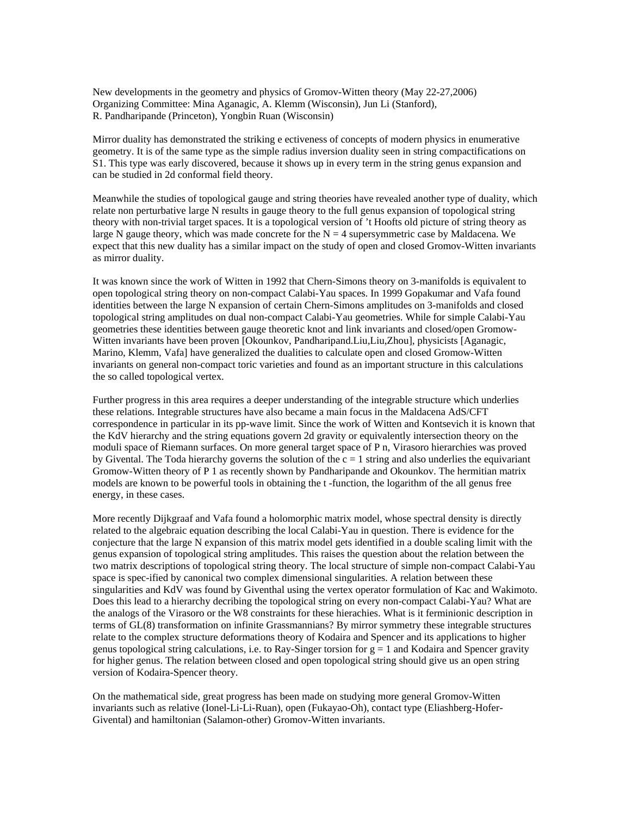New developments in the geometry and physics of Gromov-Witten theory (May 22-27,2006) Organizing Committee: Mina Aganagic, A. Klemm (Wisconsin), Jun Li (Stanford), R. Pandharipande (Princeton), Yongbin Ruan (Wisconsin)

Mirror duality has demonstrated the striking e ectiveness of concepts of modern physics in enumerative geometry. It is of the same type as the simple radius inversion duality seen in string compactifications on S1. This type was early discovered, because it shows up in every term in the string genus expansion and can be studied in 2d conformal field theory.

Meanwhile the studies of topological gauge and string theories have revealed another type of duality, which relate non perturbative large N results in gauge theory to the full genus expansion of topological string theory with non-trivial target spaces. It is a topological version of 't Hoofts old picture of string theory as large N gauge theory, which was made concrete for the  $N = 4$  supersymmetric case by Maldacena. We expect that this new duality has a similar impact on the study of open and closed Gromov-Witten invariants as mirror duality.

It was known since the work of Witten in 1992 that Chern-Simons theory on 3-manifolds is equivalent to open topological string theory on non-compact Calabi-Yau spaces. In 1999 Gopakumar and Vafa found identities between the large N expansion of certain Chern-Simons amplitudes on 3-manifolds and closed topological string amplitudes on dual non-compact Calabi-Yau geometries. While for simple Calabi-Yau geometries these identities between gauge theoretic knot and link invariants and closed/open Gromow-Witten invariants have been proven [Okounkov, Pandharipand.Liu,Liu,Zhou], physicists [Aganagic, Marino, Klemm, Vafa] have generalized the dualities to calculate open and closed Gromow-Witten invariants on general non-compact toric varieties and found as an important structure in this calculations the so called topological vertex.

Further progress in this area requires a deeper understanding of the integrable structure which underlies these relations. Integrable structures have also became a main focus in the Maldacena AdS/CFT correspondence in particular in its pp-wave limit. Since the work of Witten and Kontsevich it is known that the KdV hierarchy and the string equations govern 2d gravity or equivalently intersection theory on the moduli space of Riemann surfaces. On more general target space of P n, Virasoro hierarchies was proved by Givental. The Toda hierarchy governs the solution of the  $c = 1$  string and also underlies the equivariant Gromow-Witten theory of P 1 as recently shown by Pandharipande and Okounkov. The hermitian matrix models are known to be powerful tools in obtaining the t -function, the logarithm of the all genus free energy, in these cases.

More recently Dijkgraaf and Vafa found a holomorphic matrix model, whose spectral density is directly related to the algebraic equation describing the local Calabi-Yau in question. There is evidence for the conjecture that the large N expansion of this matrix model gets identified in a double scaling limit with the genus expansion of topological string amplitudes. This raises the question about the relation between the two matrix descriptions of topological string theory. The local structure of simple non-compact Calabi-Yau space is spec-ified by canonical two complex dimensional singularities. A relation between these singularities and KdV was found by Giventhal using the vertex operator formulation of Kac and Wakimoto. Does this lead to a hierarchy decribing the topological string on every non-compact Calabi-Yau? What are the analogs of the Virasoro or the W8 constraints for these hierachies. What is it ferminionic description in terms of GL(8) transformation on infinite Grassmannians? By mirror symmetry these integrable structures relate to the complex structure deformations theory of Kodaira and Spencer and its applications to higher genus topological string calculations, i.e. to Ray-Singer torsion for  $g = 1$  and Kodaira and Spencer gravity for higher genus. The relation between closed and open topological string should give us an open string version of Kodaira-Spencer theory.

On the mathematical side, great progress has been made on studying more general Gromov-Witten invariants such as relative (Ionel-Li-Li-Ruan), open (Fukayao-Oh), contact type (Eliashberg-Hofer-Givental) and hamiltonian (Salamon-other) Gromov-Witten invariants.